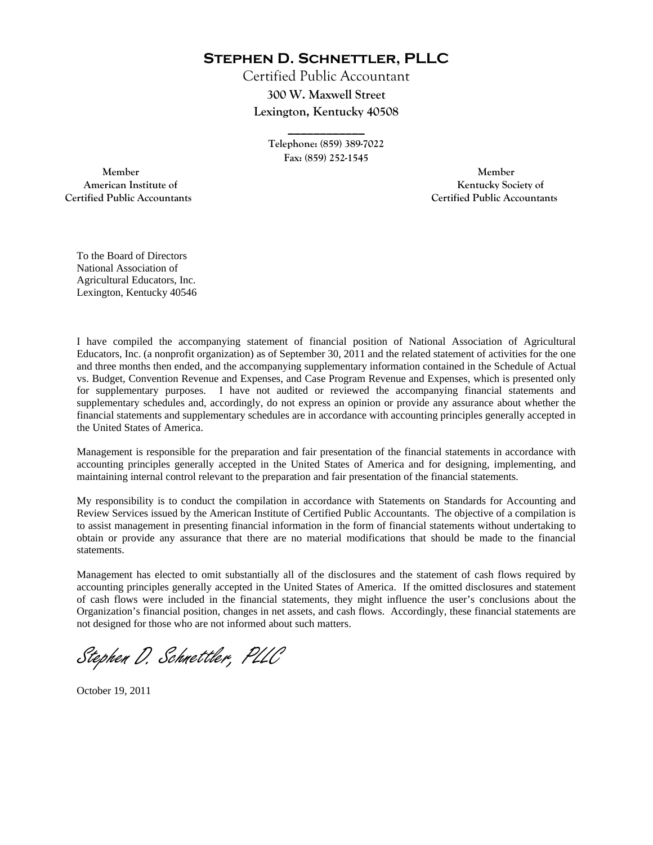**Stephen D. Schnettler, PLLC**

Certified Public Accountant **300 W. Maxwell Street Lexington, Kentucky 40508** 

> **Telephone: (859) 389-7022 Fax: (859) 252-1545**

**\_\_\_\_\_\_\_\_\_\_\_\_** 

 **Member Member Certified Public Accountants Certified Public Accountants** 

American Institute of **Kentucky Society of American Institute of** 

To the Board of Directors National Association of Agricultural Educators, Inc. Lexington, Kentucky 40546

I have compiled the accompanying statement of financial position of National Association of Agricultural Educators, Inc. (a nonprofit organization) as of September 30, 2011 and the related statement of activities for the one and three months then ended, and the accompanying supplementary information contained in the Schedule of Actual vs. Budget, Convention Revenue and Expenses, and Case Program Revenue and Expenses, which is presented only for supplementary purposes. I have not audited or reviewed the accompanying financial statements and supplementary schedules and, accordingly, do not express an opinion or provide any assurance about whether the financial statements and supplementary schedules are in accordance with accounting principles generally accepted in the United States of America.

Management is responsible for the preparation and fair presentation of the financial statements in accordance with accounting principles generally accepted in the United States of America and for designing, implementing, and maintaining internal control relevant to the preparation and fair presentation of the financial statements.

My responsibility is to conduct the compilation in accordance with Statements on Standards for Accounting and Review Services issued by the American Institute of Certified Public Accountants. The objective of a compilation is to assist management in presenting financial information in the form of financial statements without undertaking to obtain or provide any assurance that there are no material modifications that should be made to the financial statements.

Management has elected to omit substantially all of the disclosures and the statement of cash flows required by accounting principles generally accepted in the United States of America. If the omitted disclosures and statement of cash flows were included in the financial statements, they might influence the user's conclusions about the Organization's financial position, changes in net assets, and cash flows. Accordingly, these financial statements are not designed for those who are not informed about such matters.

Stephen D. Schnettler, PLLC

October 19, 2011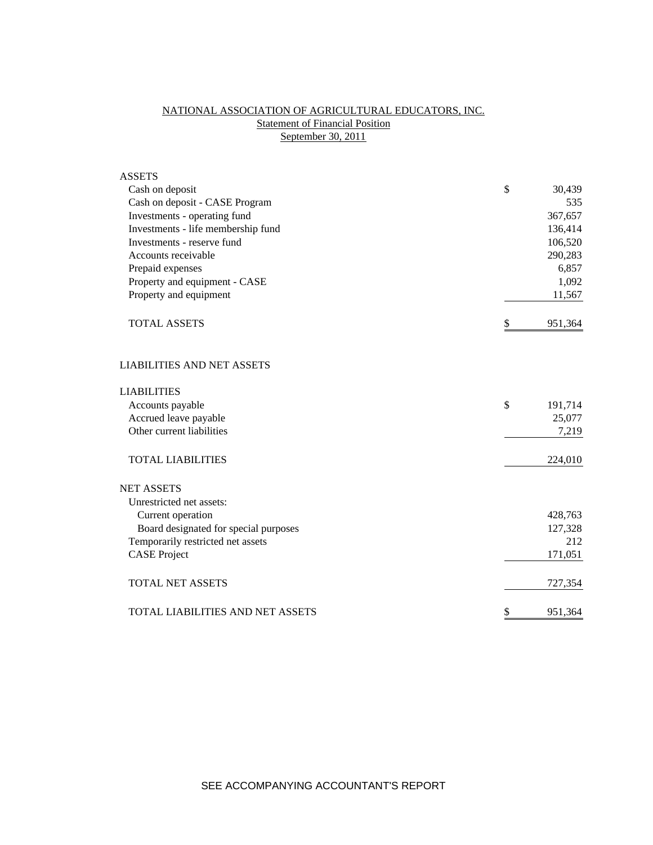## NATIONAL ASSOCIATION OF AGRICULTURAL EDUCATORS, INC. **Statement of Financial Position** September 30, 2011

| <b>ASSETS</b>                           |               |
|-----------------------------------------|---------------|
| Cash on deposit                         | \$<br>30,439  |
| Cash on deposit - CASE Program          | 535           |
| Investments - operating fund            | 367,657       |
| Investments - life membership fund      | 136,414       |
| Investments - reserve fund              | 106,520       |
| Accounts receivable                     | 290,283       |
| Prepaid expenses                        | 6,857         |
| Property and equipment - CASE           | 1,092         |
| Property and equipment                  | 11,567        |
| <b>TOTAL ASSETS</b>                     | \$<br>951,364 |
| <b>LIABILITIES AND NET ASSETS</b>       |               |
| <b>LIABILITIES</b>                      |               |
| Accounts payable                        | \$<br>191,714 |
| Accrued leave payable                   | 25,077        |
| Other current liabilities               | 7,219         |
| <b>TOTAL LIABILITIES</b>                | 224,010       |
| <b>NET ASSETS</b>                       |               |
| Unrestricted net assets:                |               |
| Current operation                       | 428,763       |
| Board designated for special purposes   | 127,328       |
| Temporarily restricted net assets       | 212           |
| <b>CASE Project</b>                     | 171,051       |
| <b>TOTAL NET ASSETS</b>                 | 727,354       |
| <b>TOTAL LIABILITIES AND NET ASSETS</b> | \$<br>951,364 |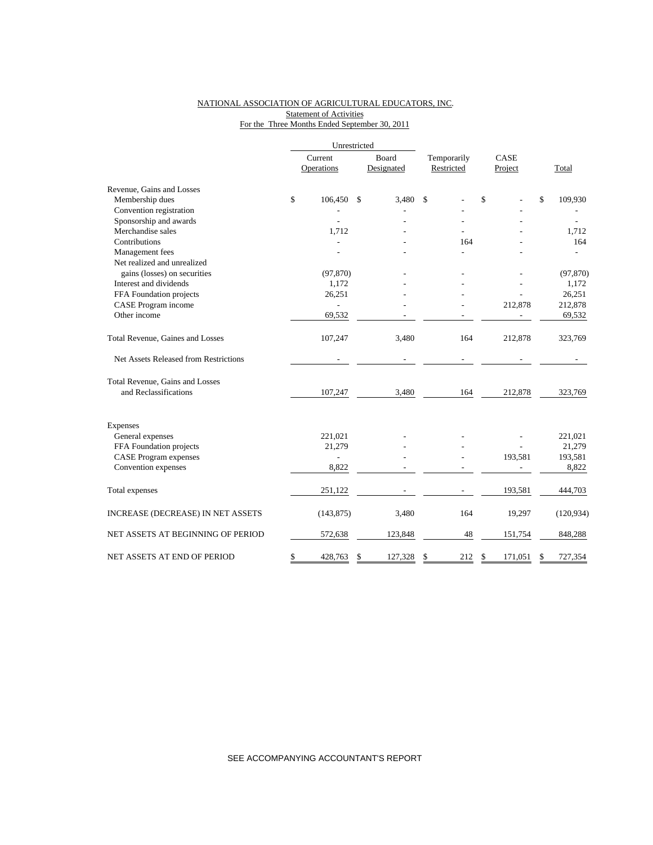## NATIONAL ASSOCIATION OF AGRICULTURAL EDUCATORS, INC. **Statement of Activities** For the Three Months Ended September 30, 2011

|                                       | Current<br>Operations |                | Board<br>Designated | Temporarily<br>Restricted |     | CASE<br>Project |         |    | Total      |  |
|---------------------------------------|-----------------------|----------------|---------------------|---------------------------|-----|-----------------|---------|----|------------|--|
|                                       |                       |                |                     |                           |     |                 |         |    |            |  |
| Revenue, Gains and Losses             |                       |                |                     |                           |     |                 |         |    |            |  |
| Membership dues                       | \$                    | 106,450        | \$<br>3,480         | \$                        |     | \$              |         | \$ | 109,930    |  |
| Convention registration               |                       |                |                     |                           |     |                 |         |    |            |  |
| Sponsorship and awards                |                       |                |                     |                           |     |                 |         |    |            |  |
| Merchandise sales                     |                       | 1,712          |                     |                           |     |                 |         |    | 1,712      |  |
| Contributions                         |                       |                |                     |                           | 164 |                 |         |    | 164        |  |
| Management fees                       |                       |                |                     |                           |     |                 |         |    |            |  |
| Net realized and unrealized           |                       |                |                     |                           |     |                 |         |    |            |  |
| gains (losses) on securities          |                       | (97, 870)      |                     |                           |     |                 |         |    | (97, 870)  |  |
| Interest and dividends                |                       | 1,172          |                     |                           |     |                 |         |    | 1,172      |  |
| FFA Foundation projects               |                       | 26,251         |                     |                           |     |                 |         |    | 26,251     |  |
| CASE Program income                   |                       |                |                     |                           |     |                 | 212,878 |    | 212,878    |  |
| Other income                          |                       | 69,532         |                     |                           |     |                 |         |    | 69,532     |  |
| Total Revenue, Gaines and Losses      |                       | 107,247        | 3,480               |                           | 164 |                 | 212,878 |    | 323,769    |  |
| Net Assets Released from Restrictions |                       |                |                     |                           |     |                 |         |    |            |  |
| Total Revenue, Gains and Losses       |                       |                |                     |                           |     |                 |         |    |            |  |
| and Reclassifications                 |                       | 107,247        | 3,480               |                           | 164 |                 | 212,878 |    | 323,769    |  |
| <b>Expenses</b>                       |                       |                |                     |                           |     |                 |         |    |            |  |
| General expenses                      |                       | 221,021        |                     |                           |     |                 |         |    | 221,021    |  |
| FFA Foundation projects               |                       | 21,279         |                     |                           |     |                 |         |    | 21,279     |  |
| <b>CASE Program expenses</b>          |                       | $\overline{a}$ |                     |                           |     |                 | 193,581 |    | 193,581    |  |
| Convention expenses                   |                       | 8,822          |                     |                           |     |                 |         |    | 8,822      |  |
|                                       |                       |                |                     |                           |     |                 |         |    |            |  |
| Total expenses                        |                       | 251,122        |                     |                           |     |                 | 193,581 |    | 444,703    |  |
| INCREASE (DECREASE) IN NET ASSETS     |                       | (143, 875)     | 3,480               |                           | 164 |                 | 19,297  |    | (120, 934) |  |
| NET ASSETS AT BEGINNING OF PERIOD     |                       | 572,638        | 123,848             |                           | 48  |                 | 151,754 |    | 848,288    |  |
| NET ASSETS AT END OF PERIOD           | \$                    | 428,763        | \$<br>127,328       | \$                        | 212 | \$              | 171,051 | S  | 727,354    |  |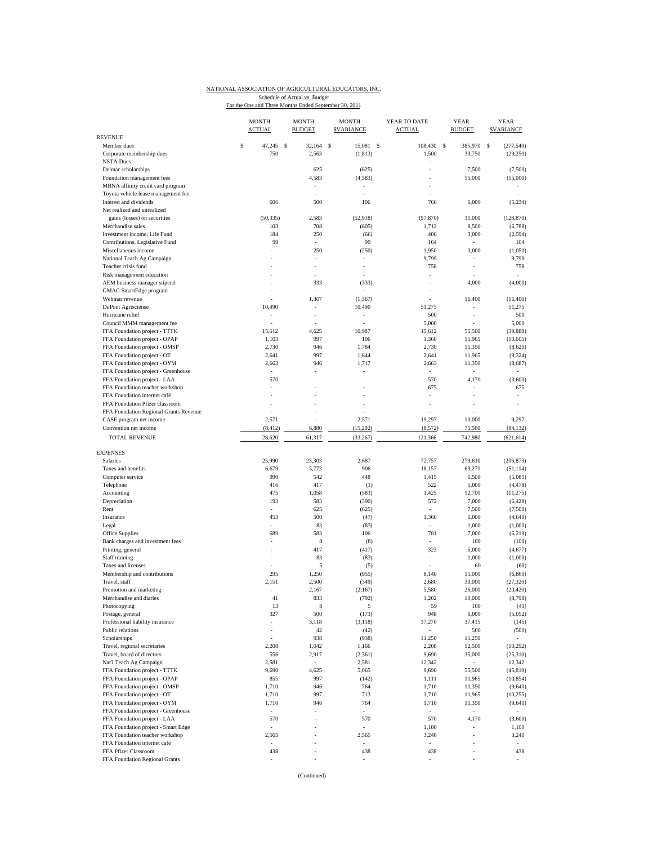## NATIONAL ASSOCIATION OF AGRICULTURAL EDUCATORS, INC. Schedule of Actual vs. Budget<br>For the One and Three Months Ended September 30, 2011

|                                                                 | <b>MONTH</b><br><b>ACTUAL</b> |          | <b>MONTH</b><br><b>BUDGET</b> | <b>MONTH</b><br><b>SVARIANCE</b> |   | YEAR TO DATE<br><b>ACTUAL</b> |               | <b>YEAR</b><br><b>BUDGET</b> | <b>YEAR</b><br><b>SVARIANCE</b> |
|-----------------------------------------------------------------|-------------------------------|----------|-------------------------------|----------------------------------|---|-------------------------------|---------------|------------------------------|---------------------------------|
| REVENUE<br>Member dues                                          | \$<br>47,245                  | <b>S</b> | 32.164                        | <sup>\$</sup><br>15.081          | S | 108.430                       | <sup>\$</sup> | 385,970                      | s<br>(277.540)                  |
| Corporate membership dues                                       | 750                           |          | 2,563                         | (1, 813)                         |   | 1,500                         |               | 30,750                       | (29, 250)                       |
| <b>NSTA Dues</b>                                                |                               |          |                               |                                  |   |                               |               |                              |                                 |
| Delmar scholarships                                             |                               |          | 625                           | (625)                            |   |                               |               | 7,500                        | (7,500)                         |
| Foundation management fees                                      |                               |          | 4,583                         | (4, 583)                         |   |                               |               | 55,000                       | (55,000)                        |
| MBNA affinity credit card program                               |                               |          |                               |                                  |   |                               |               |                              |                                 |
| Toyota vehicle lease management fee                             |                               |          | ä,                            | ÷                                |   |                               |               |                              |                                 |
| Interest and dividends                                          | 606                           |          | 500                           | 106                              |   | 766                           |               | 6,000                        | (5,234)                         |
| Net realized and unrealized<br>gains (losses) on securities     | (50, 335)                     |          | 2,583                         | (52, 918)                        |   | (97, 870)                     |               | 31,000                       | (128, 870)                      |
| Merchandise sales                                               | 103                           |          | 708                           | (605)                            |   | 1,712                         |               | 8,500                        | (6,788)                         |
| Investment income, Life Fund                                    | 184                           |          | 250                           | (66)                             |   | 406                           |               | 3,000                        | (2, 594)                        |
| Contributions, Legislative Fund                                 | 99                            |          | $\sim$                        | 99                               |   | 164                           |               | $\frac{1}{2}$                | 164                             |
| Miscellaneous income                                            |                               |          | 250                           | (250)                            |   | 1,950                         |               | 3,000                        | (1,050)                         |
| National Teach Ag Campaign                                      |                               |          | ÷,                            | ÷                                |   | 9,799                         |               | $\overline{\phantom{a}}$     | 9,799                           |
| Teacher crisis fund                                             |                               |          | ä,                            | ÷,                               |   | 758                           |               | ÷,                           | 758                             |
| Risk management education                                       |                               |          | í,                            |                                  |   | ä,                            |               |                              |                                 |
| AEM business manager stipend                                    |                               |          | 333                           | (333)                            |   |                               |               | 4,000                        | (4,000)                         |
| GMAC SmartEdge program                                          | ä,                            |          | ÷,                            |                                  |   |                               |               | ä,                           |                                 |
| Webinar revenue                                                 |                               |          | 1,367                         | (1, 367)                         |   |                               |               | 16,400                       | (16, 400)                       |
| <b>DuPont Agrisciense</b><br>Hurricane relief                   | 10,490                        |          | ä,                            | 10,490                           |   | 51,275<br>500                 |               | $\overline{\phantom{a}}$     | 51,275<br>500                   |
| Council MMM management fee                                      |                               |          |                               | ÷,                               |   | 5,000                         |               | ł,                           | 5,000                           |
| FFA Foundation project - TTTK                                   | 15,612                        |          | 4,625                         | 10,987                           |   | 15,612                        |               | 55,500                       | (39, 888)                       |
| FFA Foundation project - OPAP                                   | 1,103                         |          | 997                           | 106                              |   | 1,360                         |               | 11,965                       | (10, 605)                       |
| FFA Foundation project - OMSP                                   | 2,730                         |          | 946                           | 1,784                            |   | 2,730                         |               | 11,350                       | (8,620)                         |
| FFA Foundation project - OT                                     | 2,641                         |          | 997                           | 1,644                            |   | 2,641                         |               | 11,965                       | (9, 324)                        |
| FFA Foundation project - OYM                                    | 2,663                         |          | 946                           | 1,717                            |   | 2,663                         |               | 11,350                       | (8,687)                         |
| FFA Foundation project - Greenhouse                             | ä,                            |          |                               |                                  |   | $\overline{\phantom{a}}$      |               | ä,                           |                                 |
| FFA Foundation project - LAA                                    | 570                           |          |                               |                                  |   | 570                           |               | 4,170                        | (3,600)                         |
| FFA Foundation teacher workshop                                 | ÷,                            |          |                               |                                  |   | 675                           |               |                              | 675                             |
| FFA Foundation internet café<br>FFA Foundation Pfizer classroom |                               |          |                               |                                  |   |                               |               |                              |                                 |
| FFA Foundation Regional Grants Revenue                          | ä,                            |          | ä,                            |                                  |   | ÷                             |               |                              |                                 |
| CASE program net income                                         | 2,571                         |          |                               | 2,571                            |   | 19,297                        |               | 10,000                       | 9,297                           |
| Convention net income                                           | (8, 412)                      |          | 6,880                         | (15,292)                         |   | (8,572)                       |               | 75,560                       | (84, 132)                       |
| <b>TOTAL REVENUE</b>                                            | 28,620                        |          | 61,317                        | (33, 267)                        |   | 121,366                       |               | 742,980                      | (621, 614)                      |
|                                                                 |                               |          |                               |                                  |   |                               |               |                              |                                 |
| <b>EXPENSES</b>                                                 |                               |          |                               |                                  |   |                               |               |                              |                                 |
| Salaries                                                        | 25,990                        |          | 23,303                        | 2,687                            |   | 72,757                        |               | 279,630                      | (206, 873)                      |
| Taxes and benefits                                              | 6,679                         |          | 5,773                         | 906                              |   | 18,157                        |               | 69,271                       | (51, 114)                       |
| Computer service                                                | 990                           |          | 542                           | 448                              |   | 1,415                         |               | 6,500                        | (5,085)                         |
| Telephone<br>Accounting                                         | 416<br>475                    |          | 417<br>1,058                  | (1)<br>(583)                     |   | 522<br>1,425                  |               | 5,000<br>12,700              | (4, 478)                        |
| Depreciation                                                    | 193                           |          | 583                           | (390)                            |   | 572                           |               | 7,000                        | (11,275)<br>(6, 428)            |
| Rent                                                            |                               |          | 625                           | (625)                            |   |                               |               | 7,500                        | (7,500)                         |
| Insurance                                                       | 453                           |          | 500                           | (47)                             |   | 1,360                         |               | 6,000                        | (4,640)                         |
| Legal                                                           | ÷,                            |          | 83                            | (83)                             |   | $\overline{\phantom{a}}$      |               | 1,000                        | (1,000)                         |
| Office Supplies                                                 | 689                           |          | 583                           | 106                              |   | 781                           |               | 7,000                        | (6, 219)                        |
| Bank charges and investment fees                                |                               |          | 8                             | (8)                              |   |                               |               | 100                          | (100)                           |
| Printing, general                                               | ä,                            |          | 417                           | (417)                            |   | 323                           |               | 5,000                        | (4,677)                         |
| Staff training                                                  |                               |          | 83                            | (83)                             |   |                               |               | 1,000                        | (1,000)                         |
| Taxes and licenses<br>Membership and contributions              | ÷,                            |          | 5                             | (5)                              |   | ÷.                            |               | 60                           | (60)                            |
| Travel, staff                                                   | 295<br>2,151                  |          | 1,250<br>2,500                | (955)<br>(349)                   |   | 8,140<br>2,680                |               | 15,000<br>30,000             | (6, 860)<br>(27, 320)           |
| Promotion and marketing                                         | ٠                             |          | 2,167                         | (2,167)                          |   | 5,580                         |               | 26,000                       | (20, 420)                       |
| Merchandise and diaries                                         | 41                            |          | 833                           | (792)                            |   | 1,202                         |               | 10,000                       | (8,798)                         |
| Photocopying                                                    | 13                            |          | 8                             | 5                                |   | 59                            |               | 100                          | (41)                            |
| Postage, general                                                | 327                           |          | 500                           | (173)                            |   | 948                           |               | 6,000                        | (5,052)                         |
| Professional liability insurance                                | ÷                             |          | 3,118                         | (3, 118)                         |   | 37,270                        |               | 37,415                       | (145)                           |
| Public relations                                                | ÷                             |          | 42                            | (42)                             |   |                               |               | 500                          | (500)                           |
| Scholarships                                                    |                               |          | 938                           | (938)                            |   | 11,250                        |               | 11,250                       |                                 |
| Travel, regional secretaries                                    | 2,208                         |          | 1,042                         | 1,166                            |   | 2,208                         |               | 12,500                       | (10,292)                        |
| Travel, board of directors                                      | 556                           |          | 2,917                         | (2, 361)                         |   | 9,690                         |               | 35,000                       | (25,310)                        |
| Nat'l Teach Ag Campaign                                         | 2,581                         |          | $\omega$                      | 2,581                            |   | 12,342                        |               | $\sim$                       | 12,342                          |
| FFA Foundation project - TTTK<br>FFA Foundation project - OPAP  | 9,690<br>855                  |          | 4,625<br>997                  | 5,065<br>(142)                   |   | 9,690<br>1,111                |               | 55,500<br>11,965             | (45, 810)<br>(10, 854)          |
| FFA Foundation project - OMSP                                   | 1,710                         |          | 946                           | 764                              |   | 1,710                         |               | 11,350                       | (9,640)                         |
| FFA Foundation project - OT                                     | 1,710                         |          | 997                           | 713                              |   | 1,710                         |               | 11,965                       | (10,255)                        |
| FFA Foundation project - OYM                                    | 1,710                         |          | 946                           | 764                              |   | 1,710                         |               | 11,350                       | (9,640)                         |
| FFA Foundation project - Greenhouse                             | $\blacksquare$                |          |                               | ä,                               |   | $\overline{\phantom{a}}$      |               | $\mathcal{L}_{\mathcal{A}}$  |                                 |
| FFA Foundation project - LAA                                    | 570                           |          | ä,                            | 570                              |   | 570                           |               | 4,170                        | (3,600)                         |
| FFA Foundation project - Smart Edge                             |                               |          |                               |                                  |   | 1,100                         |               |                              | 1,100                           |
| FFA Foundation teacher workshop                                 | 2,565                         |          | i,                            | 2,565                            |   | 3,240                         |               | ÷,                           | 3,240                           |
| FFA Foundation internet café                                    | ä,                            |          |                               | ä,                               |   | $\overline{\phantom{a}}$      |               |                              |                                 |
| FFA Pfizer Classroom                                            | 438                           |          | i,                            | 438                              |   | 438                           |               | ٠                            | 438                             |
| FFA Foundation Regional Grants                                  |                               |          |                               |                                  |   |                               |               |                              |                                 |

(Continued)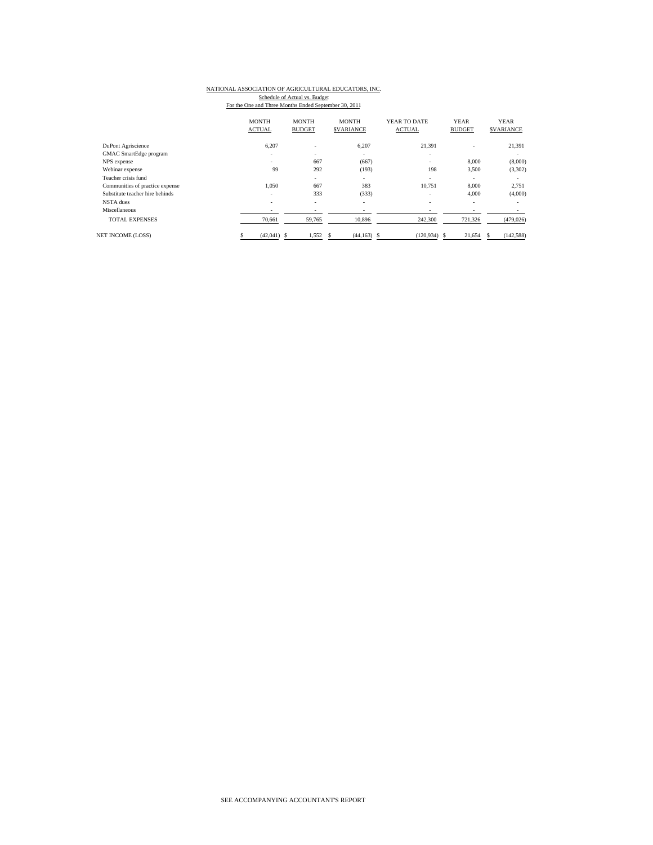# NATIONAL ASSOCIATION OF AGRICULTURAL EDUCATORS, INC.

Schedule of Actual vs. Budget<br>For the One and Three Months Ended September 30, 2011

|                                 | <b>MONTH</b><br><b>ACTUAL</b> | <b>MONTH</b><br><b>BUDGET</b> | <b>MONTH</b><br><b>SVARIANCE</b> | YEAR TO DATE<br><b>ACTUAL</b> | <b>YEAR</b><br><b>BUDGET</b> | <b>YEAR</b><br><b>SVARIANCE</b> |
|---------------------------------|-------------------------------|-------------------------------|----------------------------------|-------------------------------|------------------------------|---------------------------------|
| DuPont Agriscience              | 6,207                         | $\overline{\phantom{a}}$      | 6,207                            | 21,391                        |                              | 21,391                          |
| GMAC SmartEdge program          |                               | $\overline{\phantom{a}}$      | ٠                                | ۰                             |                              | ۰                               |
| NPS expense                     | $\sim$                        | 667                           | (667)                            | ٠                             | 8,000                        | (8,000)                         |
| Webinar expense                 | 99                            | 292                           | (193)                            | 198                           | 3,500                        | (3,302)                         |
| Teacher crisis fund             |                               | ٠                             | ٠                                | ۰                             | $\overline{\phantom{a}}$     | ٠                               |
| Communities of practice expense | 1.050                         | 667                           | 383                              | 10.751                        | 8,000                        | 2,751                           |
| Substitute teacher hire behinds | ۰                             | 333                           | (333)                            | ٠                             | 4,000                        | (4,000)                         |
| NSTA dues                       | $\overline{\phantom{a}}$      | $\overline{\phantom{a}}$      | ٠                                | ۰                             | $\overline{\phantom{a}}$     | ٠                               |
| Miscellaneous                   | $\overline{\phantom{a}}$      | $\qquad \qquad \blacksquare$  | ٠                                | ٠                             |                              | ۰                               |
| <b>TOTAL EXPENSES</b>           | 70,661                        | 59,765                        | 10,896                           | 242,300                       | 721,326                      | (479, 026)                      |
| <b>NET INCOME (LOSS)</b>        | $(42,041)$ \$                 | 1,552                         | $(44, 163)$ \$<br>S              | $(120.934)$ \$                | 21,654                       | (142, 588)<br>S                 |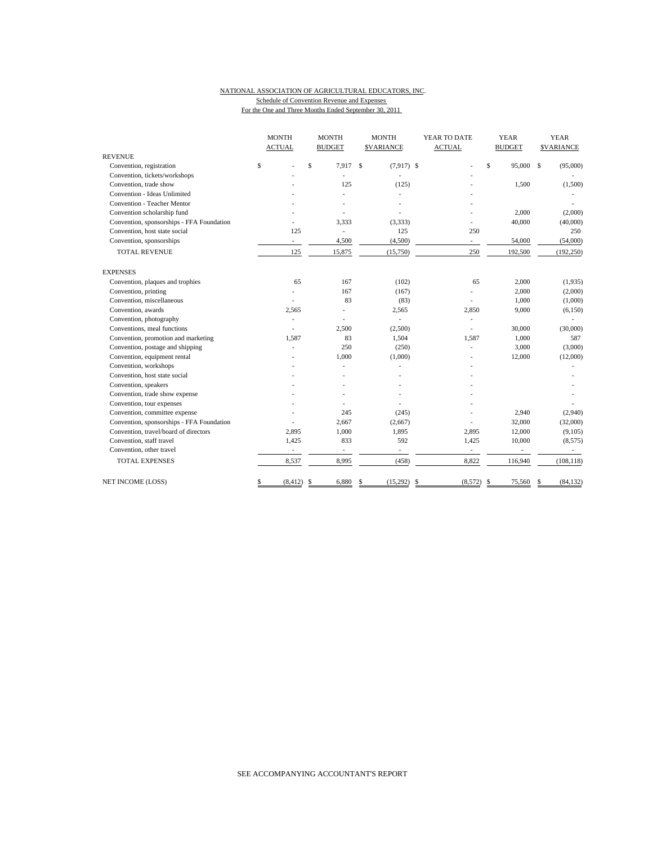#### NATIONAL ASSOCIATION OF AGRICULTURAL EDUCATORS, INC. Schedule of Convention Revenue and Expenses For the One and Three Months Ended September 30, 2011

|                                           | <b>MONTH</b>             | <b>MONTH</b>             | <b>MONTH</b>                 | YEAR TO DATE             | <b>YEAR</b>              | <b>YEAR</b>       |
|-------------------------------------------|--------------------------|--------------------------|------------------------------|--------------------------|--------------------------|-------------------|
|                                           | <b>ACTUAL</b>            | <b>BUDGET</b>            | <b>SVARIANCE</b>             | <b>ACTUAL</b>            | <b>BUDGET</b>            | <b>\$VARIANCE</b> |
| <b>REVENUE</b>                            |                          |                          |                              |                          |                          |                   |
| \$<br>Convention, registration            |                          | \$<br>7,917              | $\mathbf{s}$<br>$(7,917)$ \$ |                          | \$<br>95,000 \$          | (95,000)          |
| Convention, tickets/workshops             |                          |                          | L.                           |                          |                          |                   |
| Convention, trade show                    |                          | 125                      | (125)                        |                          | 1.500                    | (1,500)           |
| Convention - Ideas Unlimited              |                          |                          |                              |                          |                          |                   |
| <b>Convention - Teacher Mentor</b>        |                          |                          |                              |                          |                          |                   |
| Convention scholarship fund               |                          |                          |                              |                          | 2,000                    | (2,000)           |
| Convention, sponsorships - FFA Foundation |                          | 3,333                    | (3,333)                      |                          | 40,000                   | (40,000)          |
| Convention, host state social             | 125                      | L,                       | 125                          | 250                      |                          | 250               |
| Convention, sponsorships                  | $\overline{\phantom{a}}$ | 4,500                    | (4,500)                      | $\overline{\phantom{a}}$ | 54,000                   | (54,000)          |
| <b>TOTAL REVENUE</b>                      | 125                      | 15,875                   | (15,750)                     | 250                      | 192,500                  | (192, 250)        |
| <b>EXPENSES</b>                           |                          |                          |                              |                          |                          |                   |
| Convention, plaques and trophies          | 65                       | 167                      | (102)                        | 65                       | 2,000                    | (1,935)           |
| Convention, printing                      |                          | 167                      | (167)                        | ٠                        | 2,000                    | (2,000)           |
| Convention, miscellaneous                 |                          | 83                       | (83)                         |                          | 1,000                    | (1,000)           |
| Convention, awards                        | 2,565                    |                          | 2,565                        | 2,850                    | 9,000                    | (6,150)           |
| Convention, photography                   |                          |                          | $\overline{a}$               |                          |                          |                   |
| Conventions, meal functions               |                          | 2.500                    | (2,500)                      |                          | 30,000                   | (30,000)          |
| Convention, promotion and marketing       | 1,587                    | 83                       | 1,504                        | 1,587                    | 1,000                    | 587               |
| Convention, postage and shipping          |                          | 250                      | (250)                        | ٠                        | 3,000                    | (3,000)           |
| Convention, equipment rental              |                          | 1,000                    | (1,000)                      |                          | 12,000                   | (12,000)          |
| Convention, workshops                     |                          |                          |                              |                          |                          |                   |
| Convention, host state social             |                          |                          |                              |                          |                          |                   |
| Convention, speakers                      |                          |                          |                              |                          |                          |                   |
| Convention, trade show expense            |                          |                          |                              |                          |                          |                   |
| Convention, tour expenses                 |                          |                          |                              |                          |                          |                   |
| Convention, committee expense             |                          | 245                      | (245)                        |                          | 2,940                    | (2,940)           |
| Convention, sponsorships - FFA Foundation |                          | 2.667                    | (2,667)                      |                          | 32,000                   | (32,000)          |
| Convention, travel/board of directors     | 2,895                    | 1,000                    | 1,895                        | 2,895                    | 12,000                   | (9,105)           |
| Convention, staff travel                  | 1,425                    | 833                      | 592                          | 1,425                    | 10,000                   | (8, 575)          |
| Convention, other travel                  | $\overline{\phantom{a}}$ | $\overline{\phantom{a}}$ | $\overline{\phantom{a}}$     | $\overline{\phantom{a}}$ | $\overline{\phantom{a}}$ | $\sim$            |
| <b>TOTAL EXPENSES</b>                     | 8,537                    | 8,995                    | (458)                        | 8,822                    | 116,940                  | (108, 118)        |
| <b>NET INCOME (LOSS)</b><br>\$            | (8, 412)                 | 6,880<br>\$              | (15,292)<br>S                | \$<br>(8,572)            | 75,560<br>-\$            | (84, 132)<br>S    |